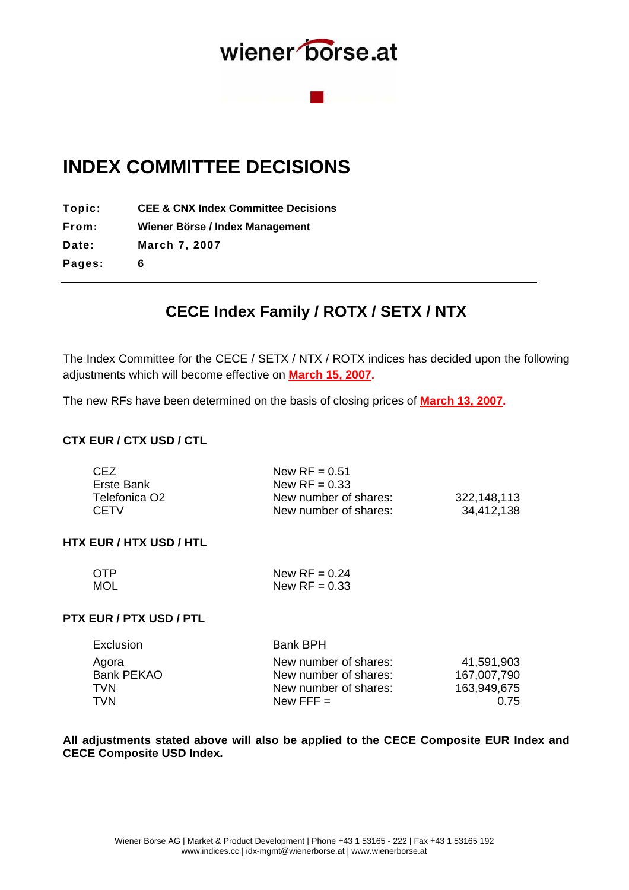

## **INDEX COMMITTEE DECISIONS**

**Topic: CEE & CNX Index Committee Decisions**

**From: Wiener Börse / Index Management** 

**Date: March 7, 2007** 

**Pages: 6** 

## **CECE Index Family / ROTX / SETX / NTX**

The Index Committee for the CECE / SETX / NTX / ROTX indices has decided upon the following adjustments which will become effective on **March 15, 2007.**

The new RFs have been determined on the basis of closing prices of **March 13, 2007.**

## **CTX EUR / CTX USD / CTL**

| CEZ.          | New $RF = 0.51$       |             |
|---------------|-----------------------|-------------|
| Erste Bank    | New $RF = 0.33$       |             |
| Telefonica O2 | New number of shares: | 322,148,113 |
| <b>CFTV</b>   | New number of shares: | 34,412,138  |

## **HTX EUR / HTX USD / HTL**

| <b>OTP</b> | New $RF = 0.24$ |
|------------|-----------------|
| <b>MOL</b> | New $RF = 0.33$ |

## **PTX EUR / PTX USD / PTL**

| 41,591,903  |
|-------------|
| 167,007,790 |
| 163,949,675 |
| 0.75        |
|             |

**All adjustments stated above will also be applied to the CECE Composite EUR Index and CECE Composite USD Index.**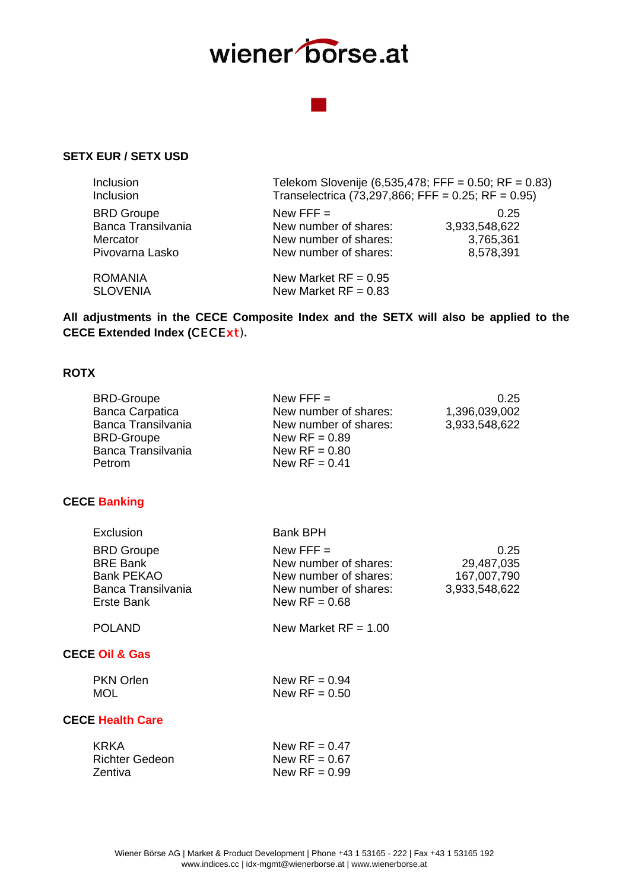

## **SETX EUR / SETX USD**

| Inclusion<br><b>Inclusion</b> | Telekom Slovenije (6,535,478; FFF = 0.50; RF = 0.83)<br>Transelectrica (73,297,866; FFF = $0.25$ ; RF = $0.95$ ) |               |
|-------------------------------|------------------------------------------------------------------------------------------------------------------|---------------|
| <b>BRD Groupe</b>             | New FFF $=$                                                                                                      | 0.25          |
| Banca Transilvania            | New number of shares:                                                                                            | 3,933,548,622 |
| Mercator                      | New number of shares:                                                                                            | 3,765,361     |
| Pivovarna Lasko               | New number of shares:                                                                                            | 8,578,391     |
| <b>ROMANIA</b>                | New Market $RF = 0.95$                                                                                           |               |
| <b>SLOVENIA</b>               | New Market $RF = 0.83$                                                                                           |               |
|                               |                                                                                                                  |               |

**All adjustments in the CECE Composite Index and the SETX will also be applied to the CECE Extended Index (**CECE*xt*)**.** 

## **ROTX**

| <b>BRD-Groupe</b>      | New FFF $=$           | 0.25          |
|------------------------|-----------------------|---------------|
| <b>Banca Carpatica</b> | New number of shares: | 1,396,039,002 |
| Banca Transilvania     | New number of shares: | 3,933,548,622 |
| <b>BRD-Groupe</b>      | New $RF = 0.89$       |               |
| Banca Transilvania     | New $RF = 0.80$       |               |
| Petrom                 | New $RF = 0.41$       |               |
|                        |                       |               |

### **CECE Banking**

| Exclusion                                                                                     | <b>Bank BPH</b>                                                                                           |                                                    |
|-----------------------------------------------------------------------------------------------|-----------------------------------------------------------------------------------------------------------|----------------------------------------------------|
| <b>BRD Groupe</b><br><b>BRE Bank</b><br><b>Bank PEKAO</b><br>Banca Transilvania<br>Erste Bank | New FFF $=$<br>New number of shares:<br>New number of shares:<br>New number of shares:<br>New $RF = 0.68$ | 0.25<br>29,487,035<br>167,007,790<br>3,933,548,622 |
| <b>POLAND</b>                                                                                 | New Market $RF = 1.00$                                                                                    |                                                    |
| <b>CECE Oil &amp; Gas</b>                                                                     |                                                                                                           |                                                    |
| <b>PKN Orlen</b><br><b>MOL</b>                                                                | New $RF = 0.94$<br>New $RF = 0.50$                                                                        |                                                    |
| <b>CECE Health Care</b>                                                                       |                                                                                                           |                                                    |
| <b>KRKA</b><br>Richter Gedeon<br>Zentiva                                                      | New $RF = 0.47$<br>New $RF = 0.67$<br>New $RF = 0.99$                                                     |                                                    |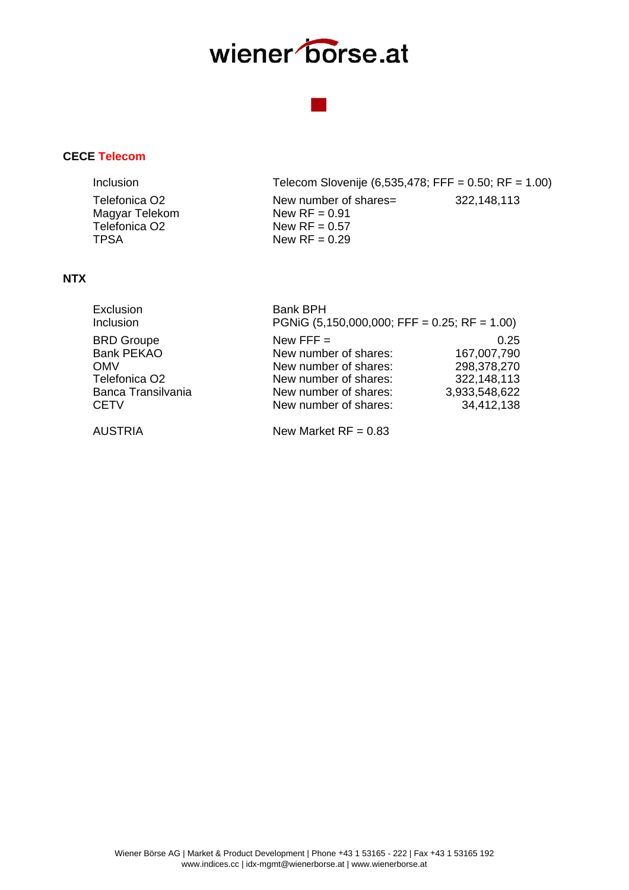## **CECE Telecom**

| Inclusion                                                                   | Telecom Slovenije (6,535,478; FFF = 0.50; RF = 1.00)                           |             |
|-----------------------------------------------------------------------------|--------------------------------------------------------------------------------|-------------|
| Telefonica O2<br>Magyar Telekom<br>Telefonica O <sub>2</sub><br><b>TPSA</b> | New number of shares=<br>New $RF = 0.91$<br>New $RF = 0.57$<br>New $RF = 0.29$ | 322,148,113 |
|                                                                             |                                                                                |             |

### **NTX**

| Exclusion                 | <b>Bank BPH</b>                                |               |
|---------------------------|------------------------------------------------|---------------|
| Inclusion                 | PGNiG $(5,150,000,000;$ FFF = 0.25; RF = 1.00) |               |
| <b>BRD Groupe</b>         | New FFF $=$                                    | 0.25          |
| <b>Bank PEKAO</b>         | New number of shares:                          | 167,007,790   |
| <b>OMV</b>                | New number of shares:                          | 298,378,270   |
| Telefonica O <sub>2</sub> | New number of shares:                          | 322,148,113   |
| Banca Transilvania        | New number of shares:                          | 3,933,548,622 |
| <b>CETV</b>               | New number of shares:                          | 34,412,138    |
|                           |                                                |               |

AUSTRIA New Market RF = 0.83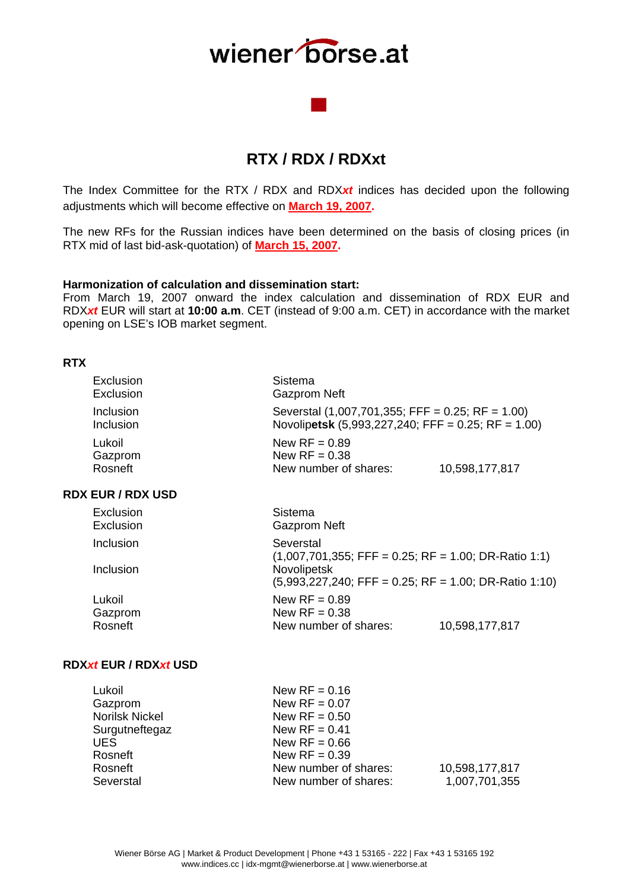## **RTX / RDX / RDXxt**

The Index Committee for the RTX / RDX and RDX*xt* indices has decided upon the following adjustments which will become effective on **March 19, 2007.**

The new RFs for the Russian indices have been determined on the basis of closing prices (in RTX mid of last bid-ask-quotation) of **March 15, 2007.**

#### **Harmonization of calculation and dissemination start:**

From March 19, 2007 onward the index calculation and dissemination of RDX EUR and RDX*xt* EUR will start at **10:00 a.m**. CET (instead of 9:00 a.m. CET) in accordance with the market opening on LSE's IOB market segment.

### **RTX**

| Exclusion<br>Exclusion       | Sistema<br><b>Gazprom Neft</b>                                                                           |                |
|------------------------------|----------------------------------------------------------------------------------------------------------|----------------|
| Inclusion<br>Inclusion       | Severstal $(1,007,701,355;$ FFF = 0.25; RF = 1.00)<br>Novolipetsk (5,993,227,240; FFF = 0.25; RF = 1.00) |                |
| Lukoil<br>Gazprom<br>Rosneft | New $RF = 0.89$<br>New $RF = 0.38$<br>New number of shares:                                              | 10,598,177,817 |

## **RDX EUR / RDX USD**

| Exclusion<br>Exclusion | Sistema<br><b>Gazprom Neft</b>                          |
|------------------------|---------------------------------------------------------|
| Inclusion              | Severstal                                               |
|                        | $(1,007,701,355;$ FFF = 0.25; RF = 1.00; DR-Ratio 1:1)  |
| Inclusion              | Novolipetsk                                             |
|                        | $(5,993,227,240;$ FFF = 0.25; RF = 1.00; DR-Ratio 1:10) |
| Lukoil                 | New $RF = 0.89$                                         |
| Gazprom                | New $RF = 0.38$                                         |
| Rosneft                | New number of shares:<br>10,598,177,817                 |
|                        |                                                         |

### **RDX***xt* **EUR / RDX***xt* **USD**

| Lukoil                | New $RF = 0.16$       |                |
|-----------------------|-----------------------|----------------|
| Gazprom               | New $RF = 0.07$       |                |
| <b>Norilsk Nickel</b> | New $RF = 0.50$       |                |
| Surgutneftegaz        | New $RF = 0.41$       |                |
| UES.                  | New $RF = 0.66$       |                |
| Rosneft               | New $RF = 0.39$       |                |
| Rosneft               | New number of shares: | 10,598,177,817 |
| Severstal             | New number of shares: | 1,007,701,355  |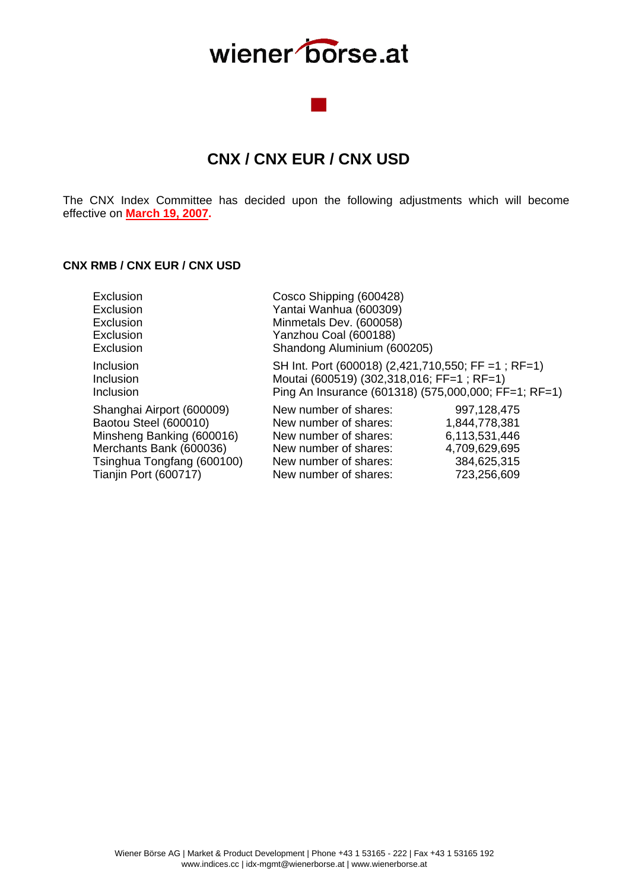## **CNX / CNX EUR / CNX USD**

The CNX Index Committee has decided upon the following adjustments which will become effective on **March 19, 2007.**

## **CNX RMB / CNX EUR / CNX USD**

| Exclusion                           | Cosco Shipping (600428)                                                                                                                                  |               |
|-------------------------------------|----------------------------------------------------------------------------------------------------------------------------------------------------------|---------------|
| Exclusion                           | Yantai Wanhua (600309)                                                                                                                                   |               |
| Exclusion                           | Minmetals Dev. (600058)                                                                                                                                  |               |
| Exclusion                           | Yanzhou Coal (600188)                                                                                                                                    |               |
| Exclusion                           | Shandong Aluminium (600205)                                                                                                                              |               |
| Inclusion<br>Inclusion<br>Inclusion | SH Int. Port (600018) (2,421,710,550; FF = 1; RF=1)<br>Moutai (600519) (302,318,016; FF=1; RF=1)<br>Ping An Insurance (601318) (575,000,000; FF=1; RF=1) |               |
| Shanghai Airport (600009)           | New number of shares:                                                                                                                                    | 997,128,475   |
| Baotou Steel (600010)               | New number of shares:                                                                                                                                    | 1,844,778,381 |
| Minsheng Banking (600016)           | New number of shares:                                                                                                                                    | 6,113,531,446 |
| Merchants Bank (600036)             | New number of shares:                                                                                                                                    | 4,709,629,695 |
| Tsinghua Tongfang (600100)          | New number of shares:                                                                                                                                    | 384,625,315   |
| Tianjin Port (600717)               | New number of shares:                                                                                                                                    | 723,256,609   |
|                                     |                                                                                                                                                          |               |